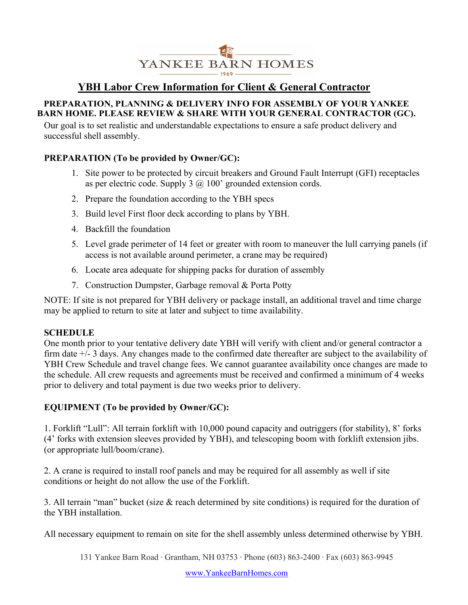

# **YBH Labor Crew Information for Client & General Contractor**

#### **PREPARATION, PLANNING & DELIVERY INFO FOR ASSEMBLY OF YOUR YANKEE BARN HOME. PLEASE REVIEW & SHARE WITH YOUR GENERAL CONTRACTOR (GC).**

Our goal is to set realistic and understandable expectations to ensure a safe product delivery and successful shell assembly.

### **PREPARATION (To be provided by Owner/GC):**

- 1. Site power to be protected by circuit breakers and Ground Fault Interrupt (GFI) receptacles as per electric code. Supply 3  $\omega$  100' grounded extension cords.
- 2. Prepare the foundation according to the YBH specs
- 3. Build level First floor deck according to plans by YBH.
- 4. Backfill the foundation
- 5. Level grade perimeter of 14 feet or greater with room to maneuver the lull carrying panels (if access is not available around perimeter, a crane may be required)
- 6. Locate area adequate for shipping packs for duration of assembly
- 7. Construction Dumpster, Garbage removal & Porta Potty

NOTE: If site is not prepared for YBH delivery or package install, an additional travel and time charge may be applied to return to site at later and subject to time availability.

#### **SCHEDULE**

One month prior to your tentative delivery date YBH will verify with client and/or general contractor a firm date +/- 3 days. Any changes made to the confirmed date thereafter are subject to the availability of YBH Crew Schedule and travel change fees. We cannot guarantee availability once changes are made to the schedule. All crew requests and agreements must be received and confirmed a minimum of 4 weeks prior to delivery and total payment is due two weeks prior to delivery.

#### **EQUIPMENT (To be provided by Owner/GC):**

1. Forklift "Lull": All terrain forklift with 10,000 pound capacity and outriggers (for stability), 8' forks (4' forks with extension sleeves provided by YBH), and telescoping boom with forklift extension jibs. (or appropriate lull/boom/crane).

2. A crane is required to install roof panels and may be required for all assembly as well if site conditions or height do not allow the use of the Forklift.

3. All terrain "man" bucket (size  $\&$  reach determined by site conditions) is required for the duration of the YBH installation.

All necessary equipment to remain on site for the shell assembly unless determined otherwise by YBH.

131 Yankee Barn Road ∙ Grantham, NH 03753 ∙ Phone (603) 863-2400 ∙ Fax (603) 863-9945